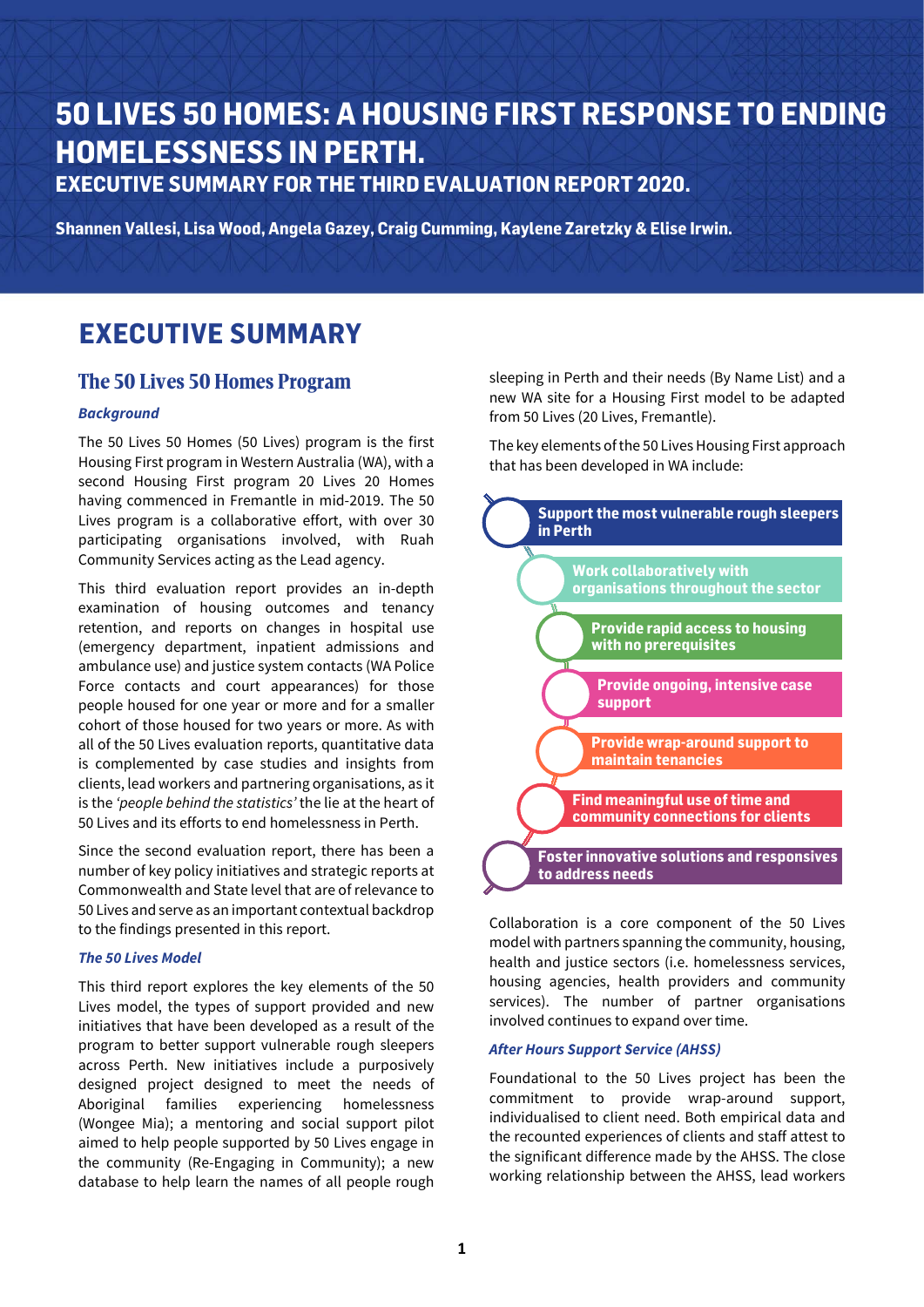# **50 LIVES 50 HOMES: A HOUSING FIRST RESPONSE TO ENDING HOMELESSNESS IN PERTH. EXECUTIVE SUMMARY FOR THE THIRD EVALUATION REPORT 2020.**

**Shannen Vallesi, Lisa Wood, Angela Gazey, Craig Cumming, Kaylene Zaretzky & Elise Irwin.**

# **EXECUTIVE SUMMARY**

# The 50 Lives 50 Homes Program

#### *Background*

The 50 Lives 50 Homes (50 Lives) program is the first Housing First program in Western Australia (WA), with a second Housing First program 20 Lives 20 Homes having commenced in Fremantle in mid-2019. The 50 Lives program is a collaborative effort, with over 30 participating organisations involved, with Ruah Community Services acting as the Lead agency.

This third evaluation report provides an in-depth examination of housing outcomes and tenancy retention, and reports on changes in hospital use (emergency department, inpatient admissions and ambulance use) and justice system contacts (WA Police Force contacts and court appearances) for those people housed for one year or more and for a smaller cohort of those housed for two years or more. As with all of the 50 Lives evaluation reports, quantitative data is complemented by case studies and insights from clients, lead workers and partnering organisations, as it is the *'people behind the statistics'* the lie at the heart of 50 Lives and its efforts to end homelessness in Perth.

Since the second evaluation report, there has been a number of key policy initiatives and strategic reports at Commonwealth and State level that are of relevance to 50 Lives and serve as an important contextual backdrop to the findings presented in this report.

#### *The 50 Lives Model*

This third report explores the key elements of the 50 Lives model, the types of support provided and new initiatives that have been developed as a result of the program to better support vulnerable rough sleepers across Perth. New initiatives include a purposively designed project designed to meet the needs of Aboriginal families experiencing homelessness (Wongee Mia); a mentoring and social support pilot aimed to help people supported by 50 Lives engage in the community (Re-Engaging in Community); a new database to help learn the names of all people rough

sleeping in Perth and their needs (By Name List) and a new WA site for a Housing First model to be adapted from 50 Lives (20 Lives, Fremantle).

The key elements of the 50 Lives Housing First approach that has been developed in WA include:



Collaboration is a core component of the 50 Lives model with partners spanning the community, housing, health and justice sectors (*i.e.* homelessness services, housing agencies, health providers and community services). The number of partner organisations involved continues to expand over time.

#### *After Hours Support Service (AHSS)*

Foundational to the 50 Lives project has been the commitment to provide wrap-around support, individualised to client need. Both empirical data and the recounted experiences of clients and staff attest to the significant difference made by the AHSS. The close working relationship between the AHSS, lead workers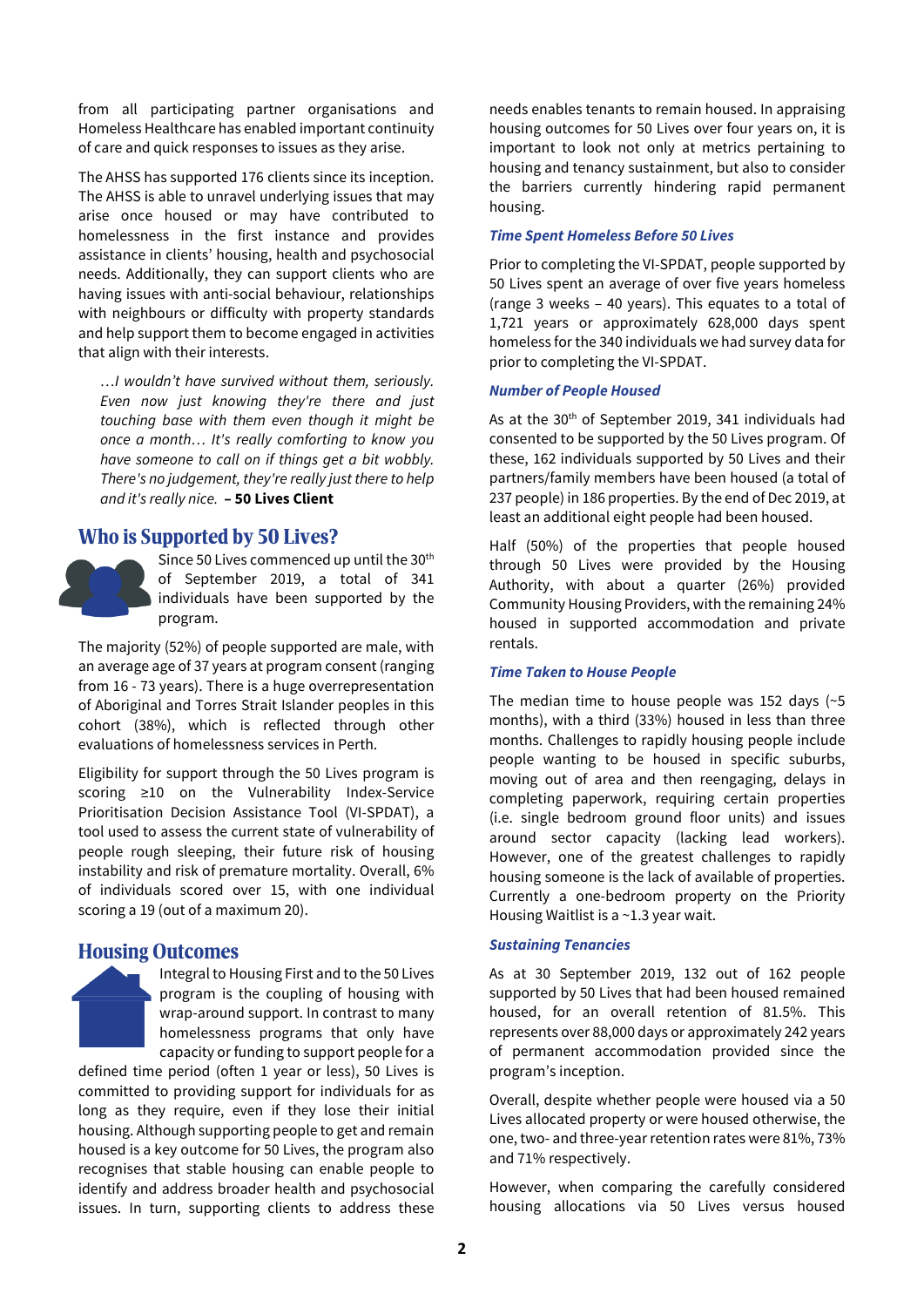from all participating partner organisations and Homeless Healthcare has enabled important continuity of care and quick responses to issues as they arise.

The AHSS has supported 176 clients since its inception. The AHSS is able to unravel underlying issues that may arise once housed or may have contributed to homelessness in the first instance and provides assistance in clients' housing, health and psychosocial needs. Additionally, they can support clients who are having issues with anti-social behaviour, relationships with neighbours or difficulty with property standards and help support them to become engaged in activities that align with their interests.

*…I wouldn't have survived without them, seriously. Even now just knowing they're there and just touching base with them even though it might be once a month… It's really comforting to know you have someone to call on if things get a bit wobbly. There's no judgement, they're really just there to help and it's really nice.* **– 50 Lives Client**

# Who is Supported by 50 Lives?



Since 50 Lives commenced up until the 30<sup>th</sup> of September 2019, a total of 341 individuals have been supported by the program.

The majority (52%) of people supported are male, with an average age of 37 years at program consent (ranging from 16 - 73 years). There is a huge overrepresentation of Aboriginal and Torres Strait Islander peoples in this cohort (38%), which is reflected through other evaluations of homelessness services in Perth.

Eligibility for support through the 50 Lives program is scoring ≥10 on the Vulnerability Index-Service Prioritisation Decision Assistance Tool (VI-SPDAT), a tool used to assess the current state of vulnerability of people rough sleeping, their future risk of housing instability and risk of premature mortality. Overall, 6% of individuals scored over 15, with one individual scoring a 19 (out of a maximum 20).

## Housing Outcomes

Integral to Housing First and to the 50 Lives program is the coupling of housing with wrap-around support. In contrast to many homelessness programs that only have capacity or funding to support people for a

defined time period (often 1 year or less), 50 Lives is committed to providing support for individuals for as long as they require, even if they lose their initial housing. Although supporting people to get and remain housed is a key outcome for 50 Lives, the program also recognises that stable housing can enable people to identify and address broader health and psychosocial issues. In turn, supporting clients to address these

needs enables tenants to remain housed. In appraising housing outcomes for 50 Lives over four years on, it is important to look not only at metrics pertaining to housing and tenancy sustainment, but also to consider the barriers currently hindering rapid permanent housing.

#### *Time Spent Homeless Before 50 Lives*

Prior to completing the VI-SPDAT, people supported by 50 Lives spent an average of over five years homeless (range 3 weeks – 40 years). This equates to a total of 1,721 years or approximately 628,000 days spent homeless for the 340 individuals we had survey data for prior to completing the VI-SPDAT.

#### *Number of People Housed*

As at the 30th of September 2019, 341 individuals had consented to be supported by the 50 Lives program. Of these, 162 individuals supported by 50 Lives and their partners/family members have been housed (a total of 237 people) in 186 properties. By the end of Dec 2019, at least an additional eight people had been housed.

Half (50%) of the properties that people housed through 50 Lives were provided by the Housing Authority, with about a quarter (26%) provided Community Housing Providers, with the remaining 24% housed in supported accommodation and private rentals.

#### *Time Taken to House People*

The median time to house people was 152 days (~5 months), with a third (33%) housed in less than three months. Challenges to rapidly housing people include people wanting to be housed in specific suburbs, moving out of area and then reengaging, delays in completing paperwork, requiring certain properties (i.e. single bedroom ground floor units) and issues around sector capacity (lacking lead workers). However, one of the greatest challenges to rapidly housing someone is the lack of available of properties. Currently a one-bedroom property on the Priority Housing Waitlist is a ~1.3 year wait.

#### *Sustaining Tenancies*

As at 30 September 2019, 132 out of 162 people supported by 50 Lives that had been housed remained housed, for an overall retention of 81.5%. This represents over 88,000 days or approximately 242 years of permanent accommodation provided since the program's inception.

Overall, despite whether people were housed via a 50 Lives allocated property or were housed otherwise, the one, two- and three-year retention rates were 81%, 73% and 71% respectively.

However, when comparing the carefully considered housing allocations via 50 Lives versus housed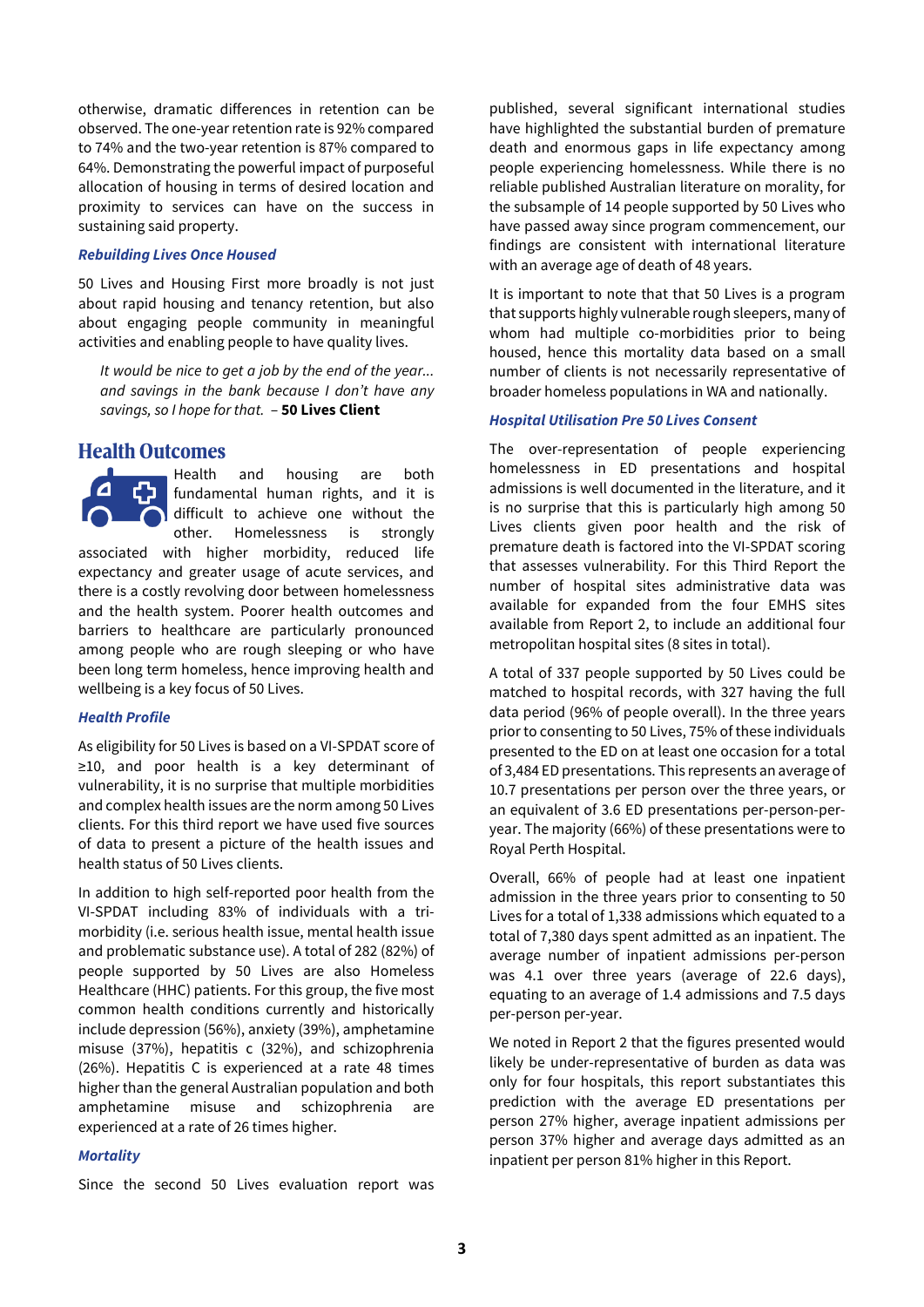otherwise, dramatic differences in retention can be observed. The one-year retention rate is 92% compared to 74% and the two-year retention is 87% compared to 64%. Demonstrating the powerful impact of purposeful allocation of housing in terms of desired location and proximity to services can have on the success in sustaining said property.

#### *Rebuilding Lives Once Housed*

50 Lives and Housing First more broadly is not just about rapid housing and tenancy retention, but also about engaging people community in meaningful activities and enabling people to have quality lives.

*It would be nice to get a job by the end of the year... and savings in the bank because I don't have any savings, so I hope for that.* – **50 Lives Client**

## Health Outcomes

Health and housing are both fundamental human rights, and it is difficult to achieve one without the other. Homelessness is strongly associated with higher morbidity, reduced life expectancy and greater usage of acute services, and there is a costly revolving door between homelessness and the health system. Poorer health outcomes and barriers to healthcare are particularly pronounced among people who are rough sleeping or who have been long term homeless, hence improving health and wellbeing is a key focus of 50 Lives.

#### *Health Profile*

As eligibility for 50 Lives is based on a VI-SPDAT score of ≥10, and poor health is a key determinant of vulnerability, it is no surprise that multiple morbidities and complex health issues are the norm among 50 Lives clients. For this third report we have used five sources of data to present a picture of the health issues and health status of 50 Lives clients.

In addition to high self-reported poor health from the VI-SPDAT including 83% of individuals with a trimorbidity (i.e. serious health issue, mental health issue and problematic substance use). A total of 282 (82%) of people supported by 50 Lives are also Homeless Healthcare (HHC) patients. For this group, the five most common health conditions currently and historically include depression (56%), anxiety (39%), amphetamine misuse (37%), hepatitis c (32%), and schizophrenia (26%). Hepatitis C is experienced at a rate 48 times higher than the general Australian population and both amphetamine misuse and schizophrenia are experienced at a rate of 26 times higher.

#### *Mortality*

Since the second 50 Lives evaluation report was

published, several significant international studies have highlighted the substantial burden of premature death and enormous gaps in life expectancy among people experiencing homelessness. While there is no reliable published Australian literature on morality, for the subsample of 14 people supported by 50 Lives who have passed away since program commencement, our findings are consistent with international literature with an average age of death of 48 years.

It is important to note that that 50 Lives is a program that supports highly vulnerable rough sleepers, many of whom had multiple co-morbidities prior to being housed, hence this mortality data based on a small number of clients is not necessarily representative of broader homeless populations in WA and nationally.

#### *Hospital Utilisation Pre 50 Lives Consent*

The over-representation of people experiencing homelessness in ED presentations and hospital admissions is well documented in the literature, and it is no surprise that this is particularly high among 50 Lives clients given poor health and the risk of premature death is factored into the VI-SPDAT scoring that assesses vulnerability. For this Third Report the number of hospital sites administrative data was available for expanded from the four EMHS sites available from Report 2, to include an additional four metropolitan hospital sites (8 sites in total).

A total of 337 people supported by 50 Lives could be matched to hospital records, with 327 having the full data period (96% of people overall). In the three years prior to consenting to 50 Lives, 75% of these individuals presented to the ED on at least one occasion for a total of 3,484 ED presentations. This represents an average of 10.7 presentations per person over the three years, or an equivalent of 3.6 ED presentations per-person-peryear. The majority (66%) of these presentations were to Royal Perth Hospital.

Overall, 66% of people had at least one inpatient admission in the three years prior to consenting to 50 Lives for a total of 1,338 admissions which equated to a total of 7,380 days spent admitted as an inpatient. The average number of inpatient admissions per-person was 4.1 over three years (average of 22.6 days), equating to an average of 1.4 admissions and 7.5 days per-person per-year.

We noted in Report 2 that the figures presented would likely be under-representative of burden as data was only for four hospitals, this report substantiates this prediction with the average ED presentations per person 27% higher, average inpatient admissions per person 37% higher and average days admitted as an inpatient per person 81% higher in this Report.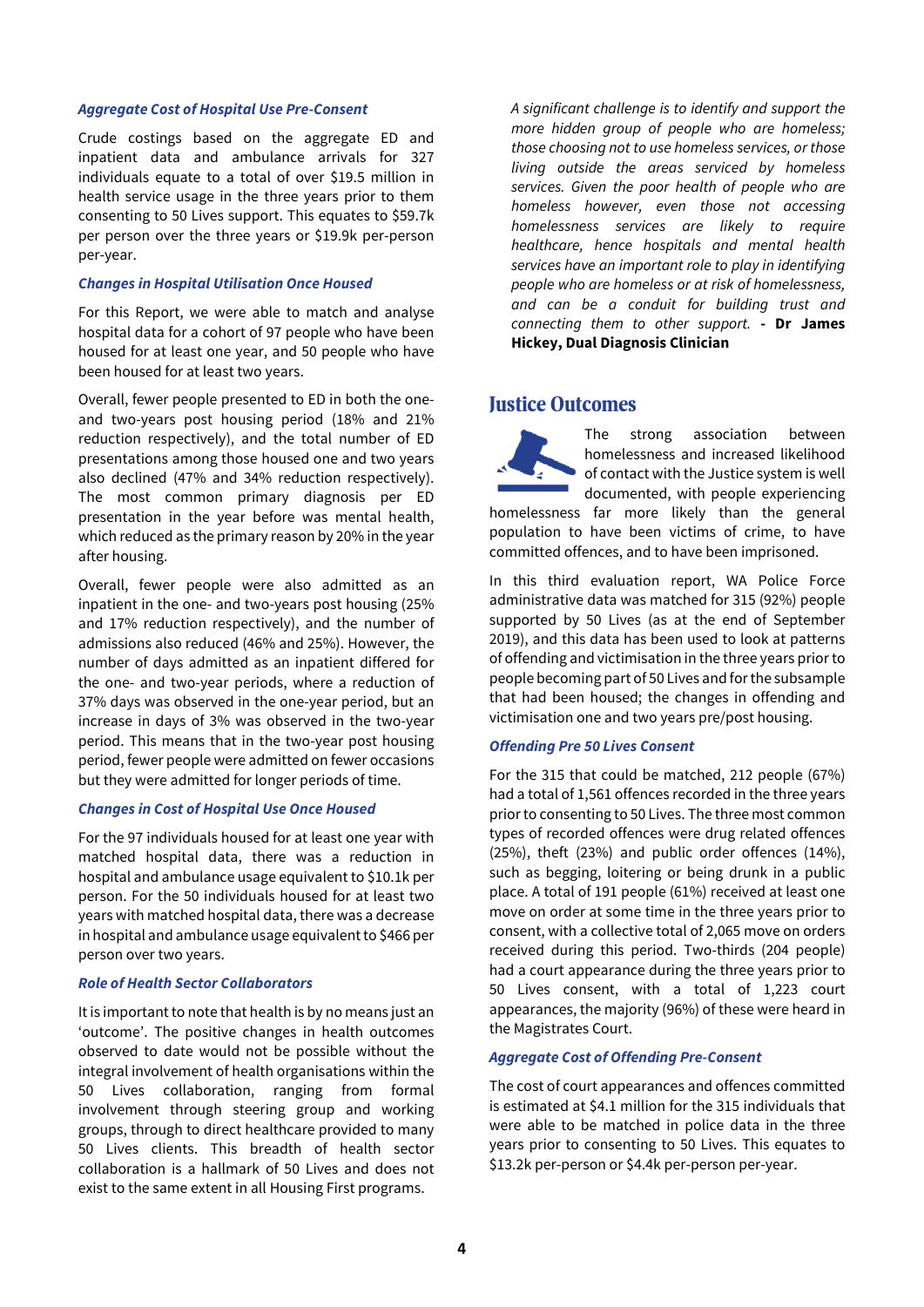#### *Aggregate Cost of Hospital Use Pre-Consent*

Crude costings based on the aggregate ED and inpatient data and ambulance arrivals for 327 individuals equate to a total of over \$19.5 million in health service usage in the three years prior to them consenting to 50 Lives support. This equates to \$59.7k per person over the three years or \$19.9k per-person per-year.

#### *Changes in Hospital Utilisation Once Housed*

For this Report, we were able to match and analyse hospital data for a cohort of 97 people who have been housed for at least one year, and 50 people who have been housed for at least two years.

Overall, fewer people presented to ED in both the oneand two-years post housing period (18% and 21% reduction respectively), and the total number of ED presentations among those housed one and two years also declined (47% and 34% reduction respectively). The most common primary diagnosis per ED presentation in the year before was mental health, which reduced as the primary reason by 20% in the year after housing.

Overall, fewer people were also admitted as an inpatient in the one- and two-years post housing (25% and 17% reduction respectively), and the number of admissions also reduced (46% and 25%). However, the number of days admitted as an inpatient differed for the one- and two-year periods, where a reduction of 37% days was observed in the one-year period, but an increase in days of 3% was observed in the two-year period. This means that in the two-year post housing period, fewer people were admitted on fewer occasions but they were admitted for longer periods of time.

#### *Changes in Cost of Hospital Use Once Housed*

For the 97 individuals housed for at least one year with matched hospital data, there was a reduction in hospital and ambulance usage equivalent to \$10.1k per person. For the 50 individuals housed for at least two years with matched hospital data, there was a decrease in hospital and ambulance usage equivalent to \$466 per person over two years.

#### *Role of Health Sector Collaborators*

It is important to note that health is by no means just an 'outcome'. The positive changes in health outcomes observed to date would not be possible without the integral involvement of health organisations within the 50 Lives collaboration, ranging from formal involvement through steering group and working groups, through to direct healthcare provided to many 50 Lives clients. This breadth of health sector collaboration is a hallmark of 50 Lives and does not exist to the same extent in all Housing First programs.

*A significant challenge is to identify and support the more hidden group of people who are homeless; those choosing not to use homeless services, or those living outside the areas serviced by homeless services. Given the poor health of people who are homeless however, even those not accessing homelessness services are likely to require healthcare, hence hospitals and mental health services have an important role to play in identifying people who are homeless or at risk of homelessness, and can be a conduit for building trust and connecting them to other support.* **- Dr James Hickey, Dual Diagnosis Clinician**

# Justice Outcomes

The strong association between homelessness and increased likelihood of contact with the Justice system is well documented, with people experiencing homelessness far more likely than the general population to have been victims of crime, to have committed offences, and to have been imprisoned.

In this third evaluation report, WA Police Force administrative data was matched for 315 (92%) people supported by 50 Lives (as at the end of September 2019), and this data has been used to look at patterns of offending and victimisation in the three years prior to people becoming part of 50 Lives and for the subsample that had been housed; the changes in offending and victimisation one and two years pre/post housing.

#### *Offending Pre 50 Lives Consent*

For the 315 that could be matched, 212 people (67%) had a total of 1,561 offences recorded in the three years prior to consenting to 50 Lives. The three most common types of recorded offences were drug related offences (25%), theft (23%) and public order offences (14%), such as begging, loitering or being drunk in a public place. A total of 191 people (61%) received at least one move on order at some time in the three years prior to consent, with a collective total of 2,065 move on orders received during this period. Two-thirds (204 people) had a court appearance during the three years prior to 50 Lives consent, with a total of 1,223 court appearances, the majority (96%) of these were heard in the Magistrates Court.

#### *Aggregate Cost of Offending Pre-Consent*

The cost of court appearances and offences committed is estimated at \$4.1 million for the 315 individuals that were able to be matched in police data in the three years prior to consenting to 50 Lives. This equates to \$13.2k per-person or \$4.4k per-person per-year.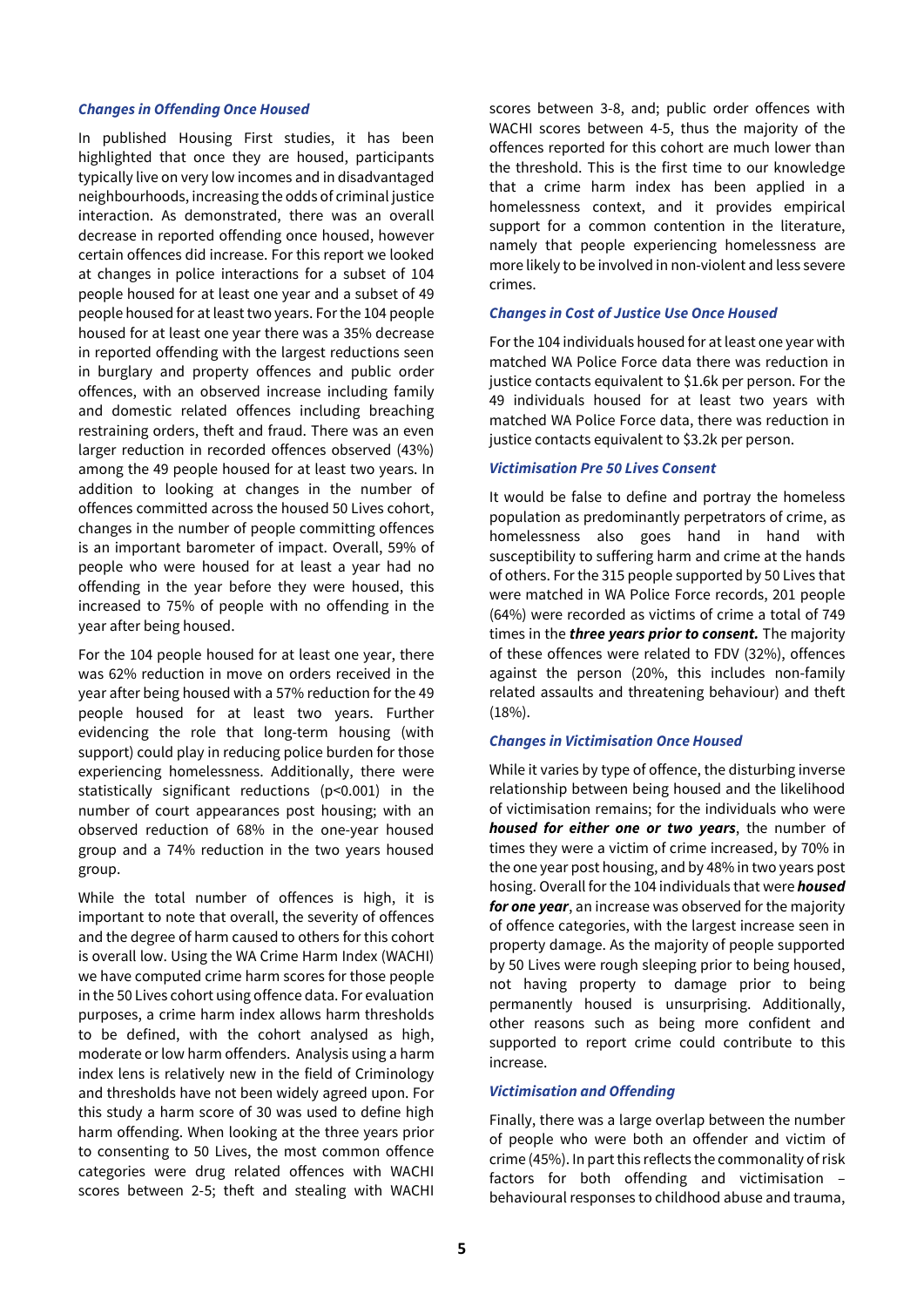#### *Changes in Offending Once Housed*

In published Housing First studies, it has been highlighted that once they are housed, participants typically live on very low incomes and in disadvantaged neighbourhoods, increasing the odds of criminal justice interaction. As demonstrated, there was an overall decrease in reported offending once housed, however certain offences did increase. For this report we looked at changes in police interactions for a subset of 104 people housed for at least one year and a subset of 49 people housed for at least two years. For the 104 people housed for at least one year there was a 35% decrease in reported offending with the largest reductions seen in burglary and property offences and public order offences, with an observed increase including family and domestic related offences including breaching restraining orders, theft and fraud. There was an even larger reduction in recorded offences observed (43%) among the 49 people housed for at least two years. In addition to looking at changes in the number of offences committed across the housed 50 Lives cohort, changes in the number of people committing offences is an important barometer of impact. Overall, 59% of people who were housed for at least a year had no offending in the year before they were housed, this increased to 75% of people with no offending in the year after being housed.

For the 104 people housed for at least one year, there was 62% reduction in move on orders received in the year after being housed with a 57% reduction for the 49 people housed for at least two years. Further evidencing the role that long-term housing (with support) could play in reducing police burden for those experiencing homelessness. Additionally, there were statistically significant reductions (p<0.001) in the number of court appearances post housing; with an observed reduction of 68% in the one-year housed group and a 74% reduction in the two years housed group.

While the total number of offences is high, it is important to note that overall, the severity of offences and the degree of harm caused to others for this cohort is overall low. Using the WA Crime Harm Index (WACHI) we have computed crime harm scores for those people in the 50 Lives cohort using offence data. For evaluation purposes, a crime harm index allows harm thresholds to be defined, with the cohort analysed as high, moderate or low harm offenders. Analysis using a harm index lens is relatively new in the field of Criminology and thresholds have not been widely agreed upon. For this study a harm score of 30 was used to define high harm offending. When looking at the three years prior to consenting to 50 Lives, the most common offence categories were drug related offences with WACHI scores between 2-5; theft and stealing with WACHI

scores between 3-8, and; public order offences with WACHI scores between 4-5, thus the majority of the offences reported for this cohort are much lower than the threshold. This is the first time to our knowledge that a crime harm index has been applied in a homelessness context, and it provides empirical support for a common contention in the literature, namely that people experiencing homelessness are more likely to be involved in non-violent and less severe crimes.

#### *Changes in Cost of Justice Use Once Housed*

For the 104 individuals housed for at least one year with matched WA Police Force data there was reduction in justice contacts equivalent to \$1.6k per person. For the 49 individuals housed for at least two years with matched WA Police Force data, there was reduction in justice contacts equivalent to \$3.2k per person.

#### *Victimisation Pre 50 Lives Consent*

It would be false to define and portray the homeless population as predominantly perpetrators of crime, as homelessness also goes hand in hand with susceptibility to suffering harm and crime at the hands of others. For the 315 people supported by 50 Lives that were matched in WA Police Force records, 201 people (64%) were recorded as victims of crime a total of 749 times in the *three years prior to consent.* The majority of these offences were related to FDV (32%), offences against the person (20%, this includes non-family related assaults and threatening behaviour) and theft (18%).

#### *Changes in Victimisation Once Housed*

While it varies by type of offence, the disturbing inverse relationship between being housed and the likelihood of victimisation remains; for the individuals who were *housed for either one or two years*, the number of times they were a victim of crime increased, by 70% in the one year post housing, and by 48% in two years post hosing. Overall for the 104 individuals that were *housed for one year*, an increase was observed for the majority of offence categories, with the largest increase seen in property damage. As the majority of people supported by 50 Lives were rough sleeping prior to being housed, not having property to damage prior to being permanently housed is unsurprising. Additionally, other reasons such as being more confident and supported to report crime could contribute to this increase.

#### *Victimisation and Offending*

Finally, there was a large overlap between the number of people who were both an offender and victim of crime (45%). In part this reflects the commonality of risk factors for both offending and victimisation – behavioural responses to childhood abuse and trauma,